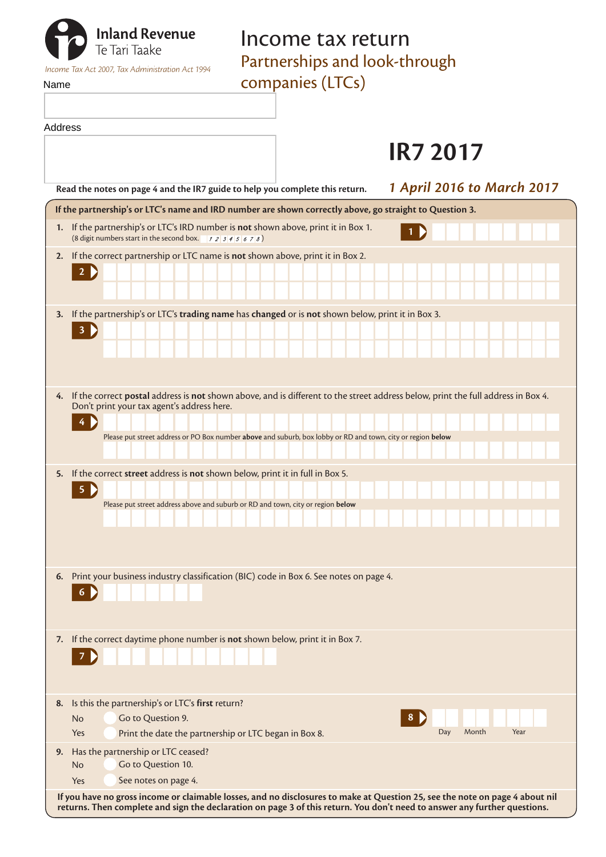| <b>Inland Revenue</b><br>-------- -- - - - -<br>Te Tari Taake<br>Income Tax Act 2007, Tax Administration Act 1994<br>Name                                                                           | Income tax return<br>Partnerships and look-through<br>companies (LTCs) |                                   |
|-----------------------------------------------------------------------------------------------------------------------------------------------------------------------------------------------------|------------------------------------------------------------------------|-----------------------------------|
| Address                                                                                                                                                                                             |                                                                        |                                   |
|                                                                                                                                                                                                     |                                                                        | <b>IR7 2017</b>                   |
| Read the notes on page 4 and the IR7 guide to help you complete this return.                                                                                                                        |                                                                        | <b>1 April 2016 to March 2017</b> |
| If the partnership's or LTC's name and IRD number are shown correctly above, go straight to Question 3.                                                                                             |                                                                        |                                   |
| If the partnership's or LTC's IRD number is <b>not</b> shown above, print it in Box 1.<br>(8 digit numbers start in the second box. $\begin{array}{cc} 7 & 2 & 3 & 4 & 5 & 6 & 7 & 8 \end{array}$ ) |                                                                        |                                   |
| If the correct partnership or LTC name is not shown above, print it in Box 2.                                                                                                                       |                                                                        |                                   |

| <b>J.</b> If the partiership's or LTC's <b>trading hance has changed</b> or is <b>not</b> shown below, print it in box J. |  |  |  |  |  |  |  |  |  |  |  |  |  |
|---------------------------------------------------------------------------------------------------------------------------|--|--|--|--|--|--|--|--|--|--|--|--|--|
| $\sim$                                                                                                                    |  |  |  |  |  |  |  |  |  |  |  |  |  |
|                                                                                                                           |  |  |  |  |  |  |  |  |  |  |  |  |  |

**3.** If the partnership's or LTC's **trading name** has **changed** or is **not** shown below, print it in Box 3.

| 4. If the correct <b>postal</b> address is <b>not</b> shown above, and is different to the street address below, print the full address in Box 4.<br>Don't print your tax agent's address here. |  |  |  |  |  |  |  |  |  |  |  |
|-------------------------------------------------------------------------------------------------------------------------------------------------------------------------------------------------|--|--|--|--|--|--|--|--|--|--|--|
| <b>4</b>                                                                                                                                                                                        |  |  |  |  |  |  |  |  |  |  |  |

|  |  |  |  |  | Please put street address or PO Box number above and suburb, box lobby or RD and town, city or region below |  |  |  |  |  |  |  |
|--|--|--|--|--|-------------------------------------------------------------------------------------------------------------|--|--|--|--|--|--|--|
|  |  |  |  |  |                                                                                                             |  |  |  |  |  |  |  |
|  |  |  |  |  |                                                                                                             |  |  |  |  |  |  |  |
|  |  |  |  |  |                                                                                                             |  |  |  |  |  |  |  |
|  |  |  |  |  |                                                                                                             |  |  |  |  |  |  |  |

| 5. If the correct street address is not shown below, print it in full in Box 5. |  |  |  |  |  |  |
|---------------------------------------------------------------------------------|--|--|--|--|--|--|
| $\vert$ 5 $\vert$                                                               |  |  |  |  |  |  |

**4**

|             |  | 6. Print your business industry classification (BIC) code in Box 6. See notes on page 4. |  |
|-------------|--|------------------------------------------------------------------------------------------|--|
| $\vert 6$ ) |  |                                                                                          |  |

|          |  |  |  | 7. If the correct daytime phone number is not shown below, print it in Box 7. |
|----------|--|--|--|-------------------------------------------------------------------------------|
| <b>7</b> |  |  |  |                                                                               |

| 8. Is this the partnership's or LTC's first return?          |     |       |      |  |
|--------------------------------------------------------------|-----|-------|------|--|
| 8<br>Go to Question 9.<br><b>No</b>                          |     |       |      |  |
| Print the date the partnership or LTC began in Box 8.<br>Yes | Day | Month | Year |  |
| 9. Has the partnership or LTC ceased?                        |     |       |      |  |
| Go to Question 10.<br><b>No</b>                              |     |       |      |  |
| See notes on page 4.<br>Yes                                  |     |       |      |  |

**If you have no gross income or claimable losses, and no disclosures to make at Question 25, see the note on page 4 about nil returns. Then complete and sign the declaration on page 3 of this return. You don't need to answer any further questions.**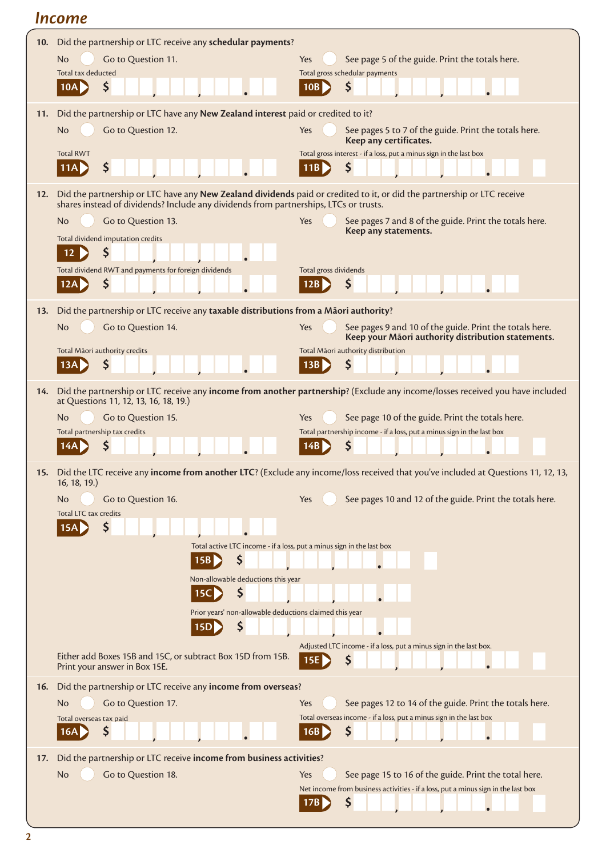# *Income*

| 10. | Did the partnership or LTC receive any schedular payments?                                                              |                                                                                                                                      |
|-----|-------------------------------------------------------------------------------------------------------------------------|--------------------------------------------------------------------------------------------------------------------------------------|
|     | Go to Question 11.<br><b>No</b>                                                                                         | See page 5 of the guide. Print the totals here.<br>Yes                                                                               |
|     | Total tax deducted                                                                                                      | Total gross schedular payments                                                                                                       |
|     | Ş<br>10A                                                                                                                | \$<br>10B                                                                                                                            |
| 11. | Did the partnership or LTC have any New Zealand interest paid or credited to it?                                        |                                                                                                                                      |
|     | Go to Question 12.<br>No                                                                                                | See pages 5 to 7 of the guide. Print the totals here.<br>Yes                                                                         |
|     |                                                                                                                         | Keep any certificates.                                                                                                               |
|     | <b>Total RWT</b>                                                                                                        | Total gross interest - if a loss, put a minus sign in the last box                                                                   |
|     | \$<br>11A                                                                                                               | \$<br>11B                                                                                                                            |
| 12. | Did the partnership or LTC have any New Zealand dividends paid or credited to it, or did the partnership or LTC receive |                                                                                                                                      |
|     | shares instead of dividends? Include any dividends from partnerships, LTCs or trusts.                                   |                                                                                                                                      |
|     | Go to Question 13.<br>No                                                                                                | Yes<br>See pages 7 and 8 of the guide. Print the totals here.                                                                        |
|     | Total dividend imputation credits                                                                                       | Keep any statements.                                                                                                                 |
|     | \$<br>12                                                                                                                |                                                                                                                                      |
|     | Total dividend RWT and payments for foreign dividends                                                                   | Total gross dividends                                                                                                                |
|     | \$<br>12A                                                                                                               | \$<br>12B                                                                                                                            |
| 13. | Did the partnership or LTC receive any taxable distributions from a Māori authority?                                    |                                                                                                                                      |
|     | Go to Question 14.<br>No                                                                                                | Yes<br>See pages 9 and 10 of the guide. Print the totals here.                                                                       |
|     |                                                                                                                         | Keep your Māori authority distribution statements.                                                                                   |
|     | Total Māori authority credits                                                                                           | Total Māori authority distribution                                                                                                   |
|     | S<br>13A                                                                                                                | \$<br>13B                                                                                                                            |
| 14. |                                                                                                                         | Did the partnership or LTC receive any income from another partnership? (Exclude any income/losses received you have included        |
|     | at Questions 11, 12, 13, 16, 18, 19.)                                                                                   |                                                                                                                                      |
|     | Go to Question 15.<br>No                                                                                                | See page 10 of the guide. Print the totals here.<br>Yes                                                                              |
|     | Total partnership tax credits                                                                                           | Total partnership income - if a loss, put a minus sign in the last box                                                               |
|     | 14A                                                                                                                     | Ş<br>14B                                                                                                                             |
|     |                                                                                                                         | 15. Did the LTC receive any income from another LTC? (Exclude any income/loss received that you've included at Questions 11, 12, 13, |
|     | 16, 18, 19.)                                                                                                            |                                                                                                                                      |
|     | Go to Question 16.<br>No.<br>Total LTC tax credits                                                                      | See pages 10 and 12 of the guide. Print the totals here.<br>Yes                                                                      |
|     | 15A                                                                                                                     |                                                                                                                                      |
|     | Total active LTC income - if a loss, put a minus sign in the last box                                                   |                                                                                                                                      |
|     | \$<br>15B                                                                                                               |                                                                                                                                      |
|     | Non-allowable deductions this year                                                                                      |                                                                                                                                      |
|     | \$<br>15 <sub>C</sub>                                                                                                   |                                                                                                                                      |
|     | Prior years' non-allowable deductions claimed this year                                                                 |                                                                                                                                      |
|     | S<br><b>15D</b>                                                                                                         |                                                                                                                                      |
|     |                                                                                                                         | Adjusted LTC income - if a loss, put a minus sign in the last box.                                                                   |
|     | Either add Boxes 15B and 15C, or subtract Box 15D from 15B.                                                             | 15E<br>Ş                                                                                                                             |
|     | Print your answer in Box 15E.                                                                                           |                                                                                                                                      |
| 16. | Did the partnership or LTC receive any income from overseas?                                                            |                                                                                                                                      |
|     | Go to Question 17.<br>No                                                                                                | See pages 12 to 14 of the guide. Print the totals here.<br>Yes                                                                       |
|     | Total overseas tax paid                                                                                                 | Total overseas income - if a loss, put a minus sign in the last box                                                                  |
|     | Ş<br>16A                                                                                                                | Ş<br>16B                                                                                                                             |
| 17. | Did the partnership or LTC receive income from business activities?                                                     |                                                                                                                                      |
|     | Go to Question 18.<br>No                                                                                                | See page 15 to 16 of the guide. Print the total here.<br>Yes                                                                         |
|     |                                                                                                                         | Net income from business activities - if a loss, put a minus sign in the last box                                                    |
|     |                                                                                                                         | \$<br>17B                                                                                                                            |
|     |                                                                                                                         |                                                                                                                                      |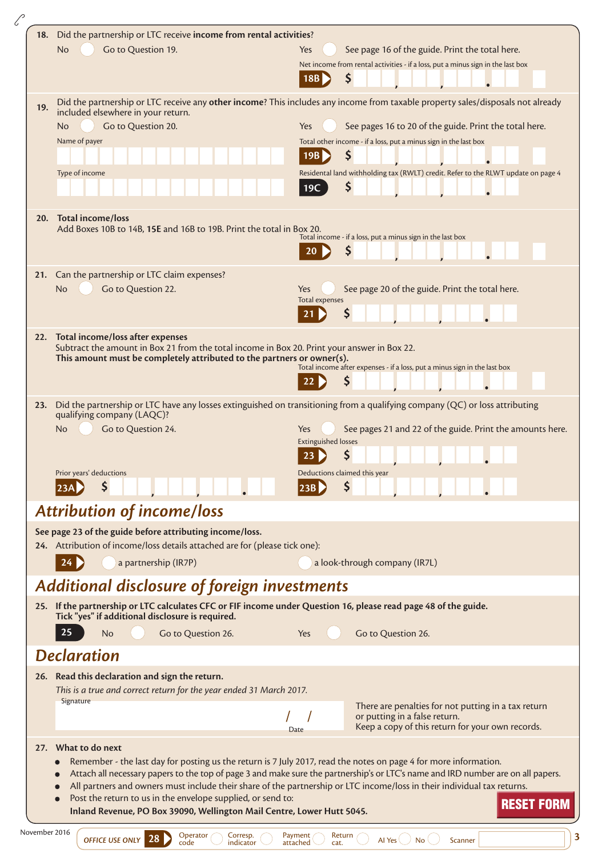| 18. Did the partnership or LTC receive income from rental activities?<br>See page 16 of the guide. Print the total here.<br><b>No</b><br>Go to Question 19.<br>Yes<br>Net income from rental activities - if a loss, put a minus sign in the last box<br>S<br>18B<br>Did the partnership or LTC receive any other income? This includes any income from taxable property sales/disposals not already<br>19.<br>included elsewhere in your return.<br>Go to Question 20.<br>See pages 16 to 20 of the guide. Print the total here.<br>N <sub>o</sub><br>Yes<br>Name of payer<br>Total other income - if a loss, put a minus sign in the last box<br>$\zeta$<br>19B<br>Type of income<br>\$<br>19C<br>20. Total income/loss<br>Add Boxes 10B to 14B, 15E and 16B to 19B. Print the total in Box 20.<br>Total income - if a loss, put a minus sign in the last box<br>21. Can the partnership or LTC claim expenses?<br>Go to Question 22.<br>See page 20 of the guide. Print the total here.<br>No<br>Yes<br>Total expenses<br>S<br>22. Total income/loss after expenses<br>Subtract the amount in Box 21 from the total income in Box 20. Print your answer in Box 22.<br>This amount must be completely attributed to the partners or owner(s).<br>Total income after expenses - if a loss, put a minus sign in the last box<br>\$<br>Did the partnership or LTC have any losses extinguished on transitioning from a qualifying company (QC) or loss attributing<br>23.<br>qualifying company (LAQC)?<br>Go to Question 24.<br>See pages 21 and 22 of the guide. Print the amounts here.<br>No<br>Yes<br><b>Extinguished losses</b><br>\$<br>23<br>Prior years' deductions<br>Deductions claimed this year<br>S<br> 23B <br>123AP<br><b>Attribution of income/loss</b><br>See page 23 of the guide before attributing income/loss.<br>24. Attribution of income/loss details attached are for (please tick one):<br>a partnership (IR7P)<br>a look-through company (IR7L)<br>Additional disclosure of foreign investments<br>25. If the partnership or LTC calculates CFC or FIF income under Question 16, please read page 48 of the guide.<br>Tick "yes" if additional disclosure is required.<br>25<br>Go to Question 26.<br>Go to Question 26.<br>No<br>Yes<br><b>Declaration</b><br>26. Read this declaration and sign the return.<br>This is a true and correct return for the year ended 31 March 2017.<br>Signature<br>There are penalties for not putting in a tax return<br>or putting in a false return.<br>Keep a copy of this return for your own records.<br>Date<br>27. What to do next<br>Remember - the last day for posting us the return is 7 July 2017, read the notes on page 4 for more information.<br>Attach all necessary papers to the top of page 3 and make sure the partnership's or LTC's name and IRD number are on all papers.<br>All partners and owners must include their share of the partnership or LTC income/loss in their individual tax returns.<br>Post the return to us in the envelope supplied, or send to:<br><b>RESET FORM</b><br>Inland Revenue, PO Box 39090, Wellington Mail Centre, Lower Hutt 5045. |                                         |                                                                                   |
|----------------------------------------------------------------------------------------------------------------------------------------------------------------------------------------------------------------------------------------------------------------------------------------------------------------------------------------------------------------------------------------------------------------------------------------------------------------------------------------------------------------------------------------------------------------------------------------------------------------------------------------------------------------------------------------------------------------------------------------------------------------------------------------------------------------------------------------------------------------------------------------------------------------------------------------------------------------------------------------------------------------------------------------------------------------------------------------------------------------------------------------------------------------------------------------------------------------------------------------------------------------------------------------------------------------------------------------------------------------------------------------------------------------------------------------------------------------------------------------------------------------------------------------------------------------------------------------------------------------------------------------------------------------------------------------------------------------------------------------------------------------------------------------------------------------------------------------------------------------------------------------------------------------------------------------------------------------------------------------------------------------------------------------------------------------------------------------------------------------------------------------------------------------------------------------------------------------------------------------------------------------------------------------------------------------------------------------------------------------------------------------------------------------------------------------------------------------------------------------------------------------------------------------------------------------------------------------------------------------------------------------------------------------------------------------------------------------------------------------------------------------------------------------------------------------------------------------------------------------------------------------------------------------------------------------------------------------------------------------------------------------------------------------------------------------------------------------------------------------------------------------------------------|-----------------------------------------|-----------------------------------------------------------------------------------|
|                                                                                                                                                                                                                                                                                                                                                                                                                                                                                                                                                                                                                                                                                                                                                                                                                                                                                                                                                                                                                                                                                                                                                                                                                                                                                                                                                                                                                                                                                                                                                                                                                                                                                                                                                                                                                                                                                                                                                                                                                                                                                                                                                                                                                                                                                                                                                                                                                                                                                                                                                                                                                                                                                                                                                                                                                                                                                                                                                                                                                                                                                                                                                          |                                         |                                                                                   |
|                                                                                                                                                                                                                                                                                                                                                                                                                                                                                                                                                                                                                                                                                                                                                                                                                                                                                                                                                                                                                                                                                                                                                                                                                                                                                                                                                                                                                                                                                                                                                                                                                                                                                                                                                                                                                                                                                                                                                                                                                                                                                                                                                                                                                                                                                                                                                                                                                                                                                                                                                                                                                                                                                                                                                                                                                                                                                                                                                                                                                                                                                                                                                          |                                         |                                                                                   |
|                                                                                                                                                                                                                                                                                                                                                                                                                                                                                                                                                                                                                                                                                                                                                                                                                                                                                                                                                                                                                                                                                                                                                                                                                                                                                                                                                                                                                                                                                                                                                                                                                                                                                                                                                                                                                                                                                                                                                                                                                                                                                                                                                                                                                                                                                                                                                                                                                                                                                                                                                                                                                                                                                                                                                                                                                                                                                                                                                                                                                                                                                                                                                          |                                         |                                                                                   |
|                                                                                                                                                                                                                                                                                                                                                                                                                                                                                                                                                                                                                                                                                                                                                                                                                                                                                                                                                                                                                                                                                                                                                                                                                                                                                                                                                                                                                                                                                                                                                                                                                                                                                                                                                                                                                                                                                                                                                                                                                                                                                                                                                                                                                                                                                                                                                                                                                                                                                                                                                                                                                                                                                                                                                                                                                                                                                                                                                                                                                                                                                                                                                          |                                         |                                                                                   |
|                                                                                                                                                                                                                                                                                                                                                                                                                                                                                                                                                                                                                                                                                                                                                                                                                                                                                                                                                                                                                                                                                                                                                                                                                                                                                                                                                                                                                                                                                                                                                                                                                                                                                                                                                                                                                                                                                                                                                                                                                                                                                                                                                                                                                                                                                                                                                                                                                                                                                                                                                                                                                                                                                                                                                                                                                                                                                                                                                                                                                                                                                                                                                          |                                         |                                                                                   |
|                                                                                                                                                                                                                                                                                                                                                                                                                                                                                                                                                                                                                                                                                                                                                                                                                                                                                                                                                                                                                                                                                                                                                                                                                                                                                                                                                                                                                                                                                                                                                                                                                                                                                                                                                                                                                                                                                                                                                                                                                                                                                                                                                                                                                                                                                                                                                                                                                                                                                                                                                                                                                                                                                                                                                                                                                                                                                                                                                                                                                                                                                                                                                          |                                         |                                                                                   |
|                                                                                                                                                                                                                                                                                                                                                                                                                                                                                                                                                                                                                                                                                                                                                                                                                                                                                                                                                                                                                                                                                                                                                                                                                                                                                                                                                                                                                                                                                                                                                                                                                                                                                                                                                                                                                                                                                                                                                                                                                                                                                                                                                                                                                                                                                                                                                                                                                                                                                                                                                                                                                                                                                                                                                                                                                                                                                                                                                                                                                                                                                                                                                          |                                         |                                                                                   |
|                                                                                                                                                                                                                                                                                                                                                                                                                                                                                                                                                                                                                                                                                                                                                                                                                                                                                                                                                                                                                                                                                                                                                                                                                                                                                                                                                                                                                                                                                                                                                                                                                                                                                                                                                                                                                                                                                                                                                                                                                                                                                                                                                                                                                                                                                                                                                                                                                                                                                                                                                                                                                                                                                                                                                                                                                                                                                                                                                                                                                                                                                                                                                          |                                         |                                                                                   |
|                                                                                                                                                                                                                                                                                                                                                                                                                                                                                                                                                                                                                                                                                                                                                                                                                                                                                                                                                                                                                                                                                                                                                                                                                                                                                                                                                                                                                                                                                                                                                                                                                                                                                                                                                                                                                                                                                                                                                                                                                                                                                                                                                                                                                                                                                                                                                                                                                                                                                                                                                                                                                                                                                                                                                                                                                                                                                                                                                                                                                                                                                                                                                          |                                         | Residental land withholding tax (RWLT) credit. Refer to the RLWT update on page 4 |
|                                                                                                                                                                                                                                                                                                                                                                                                                                                                                                                                                                                                                                                                                                                                                                                                                                                                                                                                                                                                                                                                                                                                                                                                                                                                                                                                                                                                                                                                                                                                                                                                                                                                                                                                                                                                                                                                                                                                                                                                                                                                                                                                                                                                                                                                                                                                                                                                                                                                                                                                                                                                                                                                                                                                                                                                                                                                                                                                                                                                                                                                                                                                                          |                                         |                                                                                   |
|                                                                                                                                                                                                                                                                                                                                                                                                                                                                                                                                                                                                                                                                                                                                                                                                                                                                                                                                                                                                                                                                                                                                                                                                                                                                                                                                                                                                                                                                                                                                                                                                                                                                                                                                                                                                                                                                                                                                                                                                                                                                                                                                                                                                                                                                                                                                                                                                                                                                                                                                                                                                                                                                                                                                                                                                                                                                                                                                                                                                                                                                                                                                                          |                                         |                                                                                   |
|                                                                                                                                                                                                                                                                                                                                                                                                                                                                                                                                                                                                                                                                                                                                                                                                                                                                                                                                                                                                                                                                                                                                                                                                                                                                                                                                                                                                                                                                                                                                                                                                                                                                                                                                                                                                                                                                                                                                                                                                                                                                                                                                                                                                                                                                                                                                                                                                                                                                                                                                                                                                                                                                                                                                                                                                                                                                                                                                                                                                                                                                                                                                                          |                                         |                                                                                   |
|                                                                                                                                                                                                                                                                                                                                                                                                                                                                                                                                                                                                                                                                                                                                                                                                                                                                                                                                                                                                                                                                                                                                                                                                                                                                                                                                                                                                                                                                                                                                                                                                                                                                                                                                                                                                                                                                                                                                                                                                                                                                                                                                                                                                                                                                                                                                                                                                                                                                                                                                                                                                                                                                                                                                                                                                                                                                                                                                                                                                                                                                                                                                                          |                                         |                                                                                   |
|                                                                                                                                                                                                                                                                                                                                                                                                                                                                                                                                                                                                                                                                                                                                                                                                                                                                                                                                                                                                                                                                                                                                                                                                                                                                                                                                                                                                                                                                                                                                                                                                                                                                                                                                                                                                                                                                                                                                                                                                                                                                                                                                                                                                                                                                                                                                                                                                                                                                                                                                                                                                                                                                                                                                                                                                                                                                                                                                                                                                                                                                                                                                                          |                                         |                                                                                   |
|                                                                                                                                                                                                                                                                                                                                                                                                                                                                                                                                                                                                                                                                                                                                                                                                                                                                                                                                                                                                                                                                                                                                                                                                                                                                                                                                                                                                                                                                                                                                                                                                                                                                                                                                                                                                                                                                                                                                                                                                                                                                                                                                                                                                                                                                                                                                                                                                                                                                                                                                                                                                                                                                                                                                                                                                                                                                                                                                                                                                                                                                                                                                                          |                                         |                                                                                   |
|                                                                                                                                                                                                                                                                                                                                                                                                                                                                                                                                                                                                                                                                                                                                                                                                                                                                                                                                                                                                                                                                                                                                                                                                                                                                                                                                                                                                                                                                                                                                                                                                                                                                                                                                                                                                                                                                                                                                                                                                                                                                                                                                                                                                                                                                                                                                                                                                                                                                                                                                                                                                                                                                                                                                                                                                                                                                                                                                                                                                                                                                                                                                                          |                                         |                                                                                   |
|                                                                                                                                                                                                                                                                                                                                                                                                                                                                                                                                                                                                                                                                                                                                                                                                                                                                                                                                                                                                                                                                                                                                                                                                                                                                                                                                                                                                                                                                                                                                                                                                                                                                                                                                                                                                                                                                                                                                                                                                                                                                                                                                                                                                                                                                                                                                                                                                                                                                                                                                                                                                                                                                                                                                                                                                                                                                                                                                                                                                                                                                                                                                                          |                                         |                                                                                   |
|                                                                                                                                                                                                                                                                                                                                                                                                                                                                                                                                                                                                                                                                                                                                                                                                                                                                                                                                                                                                                                                                                                                                                                                                                                                                                                                                                                                                                                                                                                                                                                                                                                                                                                                                                                                                                                                                                                                                                                                                                                                                                                                                                                                                                                                                                                                                                                                                                                                                                                                                                                                                                                                                                                                                                                                                                                                                                                                                                                                                                                                                                                                                                          |                                         |                                                                                   |
|                                                                                                                                                                                                                                                                                                                                                                                                                                                                                                                                                                                                                                                                                                                                                                                                                                                                                                                                                                                                                                                                                                                                                                                                                                                                                                                                                                                                                                                                                                                                                                                                                                                                                                                                                                                                                                                                                                                                                                                                                                                                                                                                                                                                                                                                                                                                                                                                                                                                                                                                                                                                                                                                                                                                                                                                                                                                                                                                                                                                                                                                                                                                                          |                                         |                                                                                   |
|                                                                                                                                                                                                                                                                                                                                                                                                                                                                                                                                                                                                                                                                                                                                                                                                                                                                                                                                                                                                                                                                                                                                                                                                                                                                                                                                                                                                                                                                                                                                                                                                                                                                                                                                                                                                                                                                                                                                                                                                                                                                                                                                                                                                                                                                                                                                                                                                                                                                                                                                                                                                                                                                                                                                                                                                                                                                                                                                                                                                                                                                                                                                                          |                                         |                                                                                   |
|                                                                                                                                                                                                                                                                                                                                                                                                                                                                                                                                                                                                                                                                                                                                                                                                                                                                                                                                                                                                                                                                                                                                                                                                                                                                                                                                                                                                                                                                                                                                                                                                                                                                                                                                                                                                                                                                                                                                                                                                                                                                                                                                                                                                                                                                                                                                                                                                                                                                                                                                                                                                                                                                                                                                                                                                                                                                                                                                                                                                                                                                                                                                                          |                                         |                                                                                   |
|                                                                                                                                                                                                                                                                                                                                                                                                                                                                                                                                                                                                                                                                                                                                                                                                                                                                                                                                                                                                                                                                                                                                                                                                                                                                                                                                                                                                                                                                                                                                                                                                                                                                                                                                                                                                                                                                                                                                                                                                                                                                                                                                                                                                                                                                                                                                                                                                                                                                                                                                                                                                                                                                                                                                                                                                                                                                                                                                                                                                                                                                                                                                                          |                                         |                                                                                   |
|                                                                                                                                                                                                                                                                                                                                                                                                                                                                                                                                                                                                                                                                                                                                                                                                                                                                                                                                                                                                                                                                                                                                                                                                                                                                                                                                                                                                                                                                                                                                                                                                                                                                                                                                                                                                                                                                                                                                                                                                                                                                                                                                                                                                                                                                                                                                                                                                                                                                                                                                                                                                                                                                                                                                                                                                                                                                                                                                                                                                                                                                                                                                                          |                                         |                                                                                   |
|                                                                                                                                                                                                                                                                                                                                                                                                                                                                                                                                                                                                                                                                                                                                                                                                                                                                                                                                                                                                                                                                                                                                                                                                                                                                                                                                                                                                                                                                                                                                                                                                                                                                                                                                                                                                                                                                                                                                                                                                                                                                                                                                                                                                                                                                                                                                                                                                                                                                                                                                                                                                                                                                                                                                                                                                                                                                                                                                                                                                                                                                                                                                                          |                                         |                                                                                   |
|                                                                                                                                                                                                                                                                                                                                                                                                                                                                                                                                                                                                                                                                                                                                                                                                                                                                                                                                                                                                                                                                                                                                                                                                                                                                                                                                                                                                                                                                                                                                                                                                                                                                                                                                                                                                                                                                                                                                                                                                                                                                                                                                                                                                                                                                                                                                                                                                                                                                                                                                                                                                                                                                                                                                                                                                                                                                                                                                                                                                                                                                                                                                                          |                                         |                                                                                   |
|                                                                                                                                                                                                                                                                                                                                                                                                                                                                                                                                                                                                                                                                                                                                                                                                                                                                                                                                                                                                                                                                                                                                                                                                                                                                                                                                                                                                                                                                                                                                                                                                                                                                                                                                                                                                                                                                                                                                                                                                                                                                                                                                                                                                                                                                                                                                                                                                                                                                                                                                                                                                                                                                                                                                                                                                                                                                                                                                                                                                                                                                                                                                                          |                                         |                                                                                   |
|                                                                                                                                                                                                                                                                                                                                                                                                                                                                                                                                                                                                                                                                                                                                                                                                                                                                                                                                                                                                                                                                                                                                                                                                                                                                                                                                                                                                                                                                                                                                                                                                                                                                                                                                                                                                                                                                                                                                                                                                                                                                                                                                                                                                                                                                                                                                                                                                                                                                                                                                                                                                                                                                                                                                                                                                                                                                                                                                                                                                                                                                                                                                                          |                                         |                                                                                   |
|                                                                                                                                                                                                                                                                                                                                                                                                                                                                                                                                                                                                                                                                                                                                                                                                                                                                                                                                                                                                                                                                                                                                                                                                                                                                                                                                                                                                                                                                                                                                                                                                                                                                                                                                                                                                                                                                                                                                                                                                                                                                                                                                                                                                                                                                                                                                                                                                                                                                                                                                                                                                                                                                                                                                                                                                                                                                                                                                                                                                                                                                                                                                                          |                                         |                                                                                   |
|                                                                                                                                                                                                                                                                                                                                                                                                                                                                                                                                                                                                                                                                                                                                                                                                                                                                                                                                                                                                                                                                                                                                                                                                                                                                                                                                                                                                                                                                                                                                                                                                                                                                                                                                                                                                                                                                                                                                                                                                                                                                                                                                                                                                                                                                                                                                                                                                                                                                                                                                                                                                                                                                                                                                                                                                                                                                                                                                                                                                                                                                                                                                                          |                                         |                                                                                   |
|                                                                                                                                                                                                                                                                                                                                                                                                                                                                                                                                                                                                                                                                                                                                                                                                                                                                                                                                                                                                                                                                                                                                                                                                                                                                                                                                                                                                                                                                                                                                                                                                                                                                                                                                                                                                                                                                                                                                                                                                                                                                                                                                                                                                                                                                                                                                                                                                                                                                                                                                                                                                                                                                                                                                                                                                                                                                                                                                                                                                                                                                                                                                                          |                                         |                                                                                   |
|                                                                                                                                                                                                                                                                                                                                                                                                                                                                                                                                                                                                                                                                                                                                                                                                                                                                                                                                                                                                                                                                                                                                                                                                                                                                                                                                                                                                                                                                                                                                                                                                                                                                                                                                                                                                                                                                                                                                                                                                                                                                                                                                                                                                                                                                                                                                                                                                                                                                                                                                                                                                                                                                                                                                                                                                                                                                                                                                                                                                                                                                                                                                                          |                                         |                                                                                   |
|                                                                                                                                                                                                                                                                                                                                                                                                                                                                                                                                                                                                                                                                                                                                                                                                                                                                                                                                                                                                                                                                                                                                                                                                                                                                                                                                                                                                                                                                                                                                                                                                                                                                                                                                                                                                                                                                                                                                                                                                                                                                                                                                                                                                                                                                                                                                                                                                                                                                                                                                                                                                                                                                                                                                                                                                                                                                                                                                                                                                                                                                                                                                                          |                                         |                                                                                   |
|                                                                                                                                                                                                                                                                                                                                                                                                                                                                                                                                                                                                                                                                                                                                                                                                                                                                                                                                                                                                                                                                                                                                                                                                                                                                                                                                                                                                                                                                                                                                                                                                                                                                                                                                                                                                                                                                                                                                                                                                                                                                                                                                                                                                                                                                                                                                                                                                                                                                                                                                                                                                                                                                                                                                                                                                                                                                                                                                                                                                                                                                                                                                                          |                                         |                                                                                   |
|                                                                                                                                                                                                                                                                                                                                                                                                                                                                                                                                                                                                                                                                                                                                                                                                                                                                                                                                                                                                                                                                                                                                                                                                                                                                                                                                                                                                                                                                                                                                                                                                                                                                                                                                                                                                                                                                                                                                                                                                                                                                                                                                                                                                                                                                                                                                                                                                                                                                                                                                                                                                                                                                                                                                                                                                                                                                                                                                                                                                                                                                                                                                                          |                                         |                                                                                   |
|                                                                                                                                                                                                                                                                                                                                                                                                                                                                                                                                                                                                                                                                                                                                                                                                                                                                                                                                                                                                                                                                                                                                                                                                                                                                                                                                                                                                                                                                                                                                                                                                                                                                                                                                                                                                                                                                                                                                                                                                                                                                                                                                                                                                                                                                                                                                                                                                                                                                                                                                                                                                                                                                                                                                                                                                                                                                                                                                                                                                                                                                                                                                                          |                                         |                                                                                   |
|                                                                                                                                                                                                                                                                                                                                                                                                                                                                                                                                                                                                                                                                                                                                                                                                                                                                                                                                                                                                                                                                                                                                                                                                                                                                                                                                                                                                                                                                                                                                                                                                                                                                                                                                                                                                                                                                                                                                                                                                                                                                                                                                                                                                                                                                                                                                                                                                                                                                                                                                                                                                                                                                                                                                                                                                                                                                                                                                                                                                                                                                                                                                                          |                                         |                                                                                   |
|                                                                                                                                                                                                                                                                                                                                                                                                                                                                                                                                                                                                                                                                                                                                                                                                                                                                                                                                                                                                                                                                                                                                                                                                                                                                                                                                                                                                                                                                                                                                                                                                                                                                                                                                                                                                                                                                                                                                                                                                                                                                                                                                                                                                                                                                                                                                                                                                                                                                                                                                                                                                                                                                                                                                                                                                                                                                                                                                                                                                                                                                                                                                                          |                                         |                                                                                   |
|                                                                                                                                                                                                                                                                                                                                                                                                                                                                                                                                                                                                                                                                                                                                                                                                                                                                                                                                                                                                                                                                                                                                                                                                                                                                                                                                                                                                                                                                                                                                                                                                                                                                                                                                                                                                                                                                                                                                                                                                                                                                                                                                                                                                                                                                                                                                                                                                                                                                                                                                                                                                                                                                                                                                                                                                                                                                                                                                                                                                                                                                                                                                                          |                                         |                                                                                   |
|                                                                                                                                                                                                                                                                                                                                                                                                                                                                                                                                                                                                                                                                                                                                                                                                                                                                                                                                                                                                                                                                                                                                                                                                                                                                                                                                                                                                                                                                                                                                                                                                                                                                                                                                                                                                                                                                                                                                                                                                                                                                                                                                                                                                                                                                                                                                                                                                                                                                                                                                                                                                                                                                                                                                                                                                                                                                                                                                                                                                                                                                                                                                                          |                                         |                                                                                   |
|                                                                                                                                                                                                                                                                                                                                                                                                                                                                                                                                                                                                                                                                                                                                                                                                                                                                                                                                                                                                                                                                                                                                                                                                                                                                                                                                                                                                                                                                                                                                                                                                                                                                                                                                                                                                                                                                                                                                                                                                                                                                                                                                                                                                                                                                                                                                                                                                                                                                                                                                                                                                                                                                                                                                                                                                                                                                                                                                                                                                                                                                                                                                                          |                                         |                                                                                   |
|                                                                                                                                                                                                                                                                                                                                                                                                                                                                                                                                                                                                                                                                                                                                                                                                                                                                                                                                                                                                                                                                                                                                                                                                                                                                                                                                                                                                                                                                                                                                                                                                                                                                                                                                                                                                                                                                                                                                                                                                                                                                                                                                                                                                                                                                                                                                                                                                                                                                                                                                                                                                                                                                                                                                                                                                                                                                                                                                                                                                                                                                                                                                                          |                                         |                                                                                   |
|                                                                                                                                                                                                                                                                                                                                                                                                                                                                                                                                                                                                                                                                                                                                                                                                                                                                                                                                                                                                                                                                                                                                                                                                                                                                                                                                                                                                                                                                                                                                                                                                                                                                                                                                                                                                                                                                                                                                                                                                                                                                                                                                                                                                                                                                                                                                                                                                                                                                                                                                                                                                                                                                                                                                                                                                                                                                                                                                                                                                                                                                                                                                                          |                                         |                                                                                   |
|                                                                                                                                                                                                                                                                                                                                                                                                                                                                                                                                                                                                                                                                                                                                                                                                                                                                                                                                                                                                                                                                                                                                                                                                                                                                                                                                                                                                                                                                                                                                                                                                                                                                                                                                                                                                                                                                                                                                                                                                                                                                                                                                                                                                                                                                                                                                                                                                                                                                                                                                                                                                                                                                                                                                                                                                                                                                                                                                                                                                                                                                                                                                                          |                                         |                                                                                   |
|                                                                                                                                                                                                                                                                                                                                                                                                                                                                                                                                                                                                                                                                                                                                                                                                                                                                                                                                                                                                                                                                                                                                                                                                                                                                                                                                                                                                                                                                                                                                                                                                                                                                                                                                                                                                                                                                                                                                                                                                                                                                                                                                                                                                                                                                                                                                                                                                                                                                                                                                                                                                                                                                                                                                                                                                                                                                                                                                                                                                                                                                                                                                                          |                                         |                                                                                   |
|                                                                                                                                                                                                                                                                                                                                                                                                                                                                                                                                                                                                                                                                                                                                                                                                                                                                                                                                                                                                                                                                                                                                                                                                                                                                                                                                                                                                                                                                                                                                                                                                                                                                                                                                                                                                                                                                                                                                                                                                                                                                                                                                                                                                                                                                                                                                                                                                                                                                                                                                                                                                                                                                                                                                                                                                                                                                                                                                                                                                                                                                                                                                                          |                                         |                                                                                   |
|                                                                                                                                                                                                                                                                                                                                                                                                                                                                                                                                                                                                                                                                                                                                                                                                                                                                                                                                                                                                                                                                                                                                                                                                                                                                                                                                                                                                                                                                                                                                                                                                                                                                                                                                                                                                                                                                                                                                                                                                                                                                                                                                                                                                                                                                                                                                                                                                                                                                                                                                                                                                                                                                                                                                                                                                                                                                                                                                                                                                                                                                                                                                                          |                                         |                                                                                   |
|                                                                                                                                                                                                                                                                                                                                                                                                                                                                                                                                                                                                                                                                                                                                                                                                                                                                                                                                                                                                                                                                                                                                                                                                                                                                                                                                                                                                                                                                                                                                                                                                                                                                                                                                                                                                                                                                                                                                                                                                                                                                                                                                                                                                                                                                                                                                                                                                                                                                                                                                                                                                                                                                                                                                                                                                                                                                                                                                                                                                                                                                                                                                                          |                                         |                                                                                   |
|                                                                                                                                                                                                                                                                                                                                                                                                                                                                                                                                                                                                                                                                                                                                                                                                                                                                                                                                                                                                                                                                                                                                                                                                                                                                                                                                                                                                                                                                                                                                                                                                                                                                                                                                                                                                                                                                                                                                                                                                                                                                                                                                                                                                                                                                                                                                                                                                                                                                                                                                                                                                                                                                                                                                                                                                                                                                                                                                                                                                                                                                                                                                                          |                                         |                                                                                   |
|                                                                                                                                                                                                                                                                                                                                                                                                                                                                                                                                                                                                                                                                                                                                                                                                                                                                                                                                                                                                                                                                                                                                                                                                                                                                                                                                                                                                                                                                                                                                                                                                                                                                                                                                                                                                                                                                                                                                                                                                                                                                                                                                                                                                                                                                                                                                                                                                                                                                                                                                                                                                                                                                                                                                                                                                                                                                                                                                                                                                                                                                                                                                                          |                                         |                                                                                   |
|                                                                                                                                                                                                                                                                                                                                                                                                                                                                                                                                                                                                                                                                                                                                                                                                                                                                                                                                                                                                                                                                                                                                                                                                                                                                                                                                                                                                                                                                                                                                                                                                                                                                                                                                                                                                                                                                                                                                                                                                                                                                                                                                                                                                                                                                                                                                                                                                                                                                                                                                                                                                                                                                                                                                                                                                                                                                                                                                                                                                                                                                                                                                                          |                                         |                                                                                   |
|                                                                                                                                                                                                                                                                                                                                                                                                                                                                                                                                                                                                                                                                                                                                                                                                                                                                                                                                                                                                                                                                                                                                                                                                                                                                                                                                                                                                                                                                                                                                                                                                                                                                                                                                                                                                                                                                                                                                                                                                                                                                                                                                                                                                                                                                                                                                                                                                                                                                                                                                                                                                                                                                                                                                                                                                                                                                                                                                                                                                                                                                                                                                                          | OFFICE USE ONLY 28<br>code<br>indicator | Al Yes $\langle \rangle$<br>No <sub>0</sub><br>Scanner<br>attached<br>cat.        |